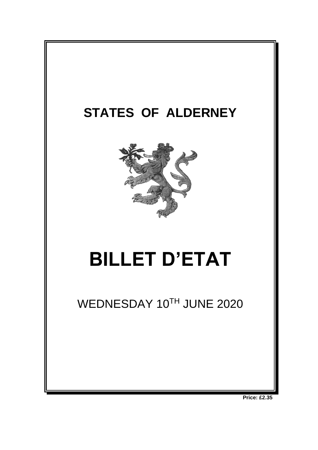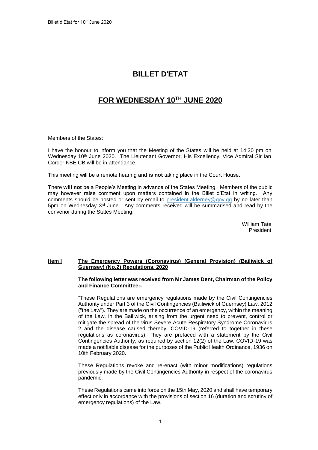# **BILLET D'ETAT**

# **FOR WEDNESDAY 10 TH JUNE 2020**

Members of the States:

I have the honour to inform you that the Meeting of the States will be held at 14:30 pm on Wednesday 10<sup>th</sup> June 2020. The Lieutenant Governor, His Excellency, Vice Admiral Sir Ian Corder KBE CB will be in attendance.

This meeting will be a remote hearing and **is not** taking place in the Court House.

There **will not** be a People's Meeting in advance of the States Meeting. Members of the public may however raise comment upon matters contained in the Billet d'Etat in writing. Any comments should be posted or sent by email to [president.alderney@gov.gg](mailto:president.alderney@gov.gg) by no later than 5pm on Wednesday 3<sup>rd</sup> June. Any comments received will be summarised and read by the convenor during the States Meeting.

> William Tate President

# **Item I The Emergency Powers (Coronavirus) (General Provision) (Bailiwick of Guernsey) (No.2) Regulations, 2020**

### **The following letter was received from Mr James Dent, Chairman of the Policy and Finance Committee:-**

"These Regulations are emergency regulations made by the Civil Contingencies Authority under Part 3 of the Civil Contingencies (Bailiwick of Guernsey) Law, 2012 ("the Law"). They are made on the occurrence of an emergency, within the meaning of the Law, in the Bailiwick, arising from the urgent need to prevent, control or mitigate the spread of the virus Severe Acute Respiratory Syndrome Coronavirus 2 and the disease caused thereby, COVID-19 (referred to together in these regulations as coronavirus). They are prefaced with a statement by the Civil Contingencies Authority, as required by section 12(2) of the Law. COVID-19 was made a notifiable disease for the purposes of the Public Health Ordinance, 1936 on 10th February 2020.

These Regulations revoke and re-enact (with minor modifications) regulations previously made by the Civil Contingencies Authority in respect of the coronavirus pandemic.

These Regulations came into force on the 15th May, 2020 and shall have temporary effect only in accordance with the provisions of section 16 (duration and scrutiny of emergency regulations) of the Law.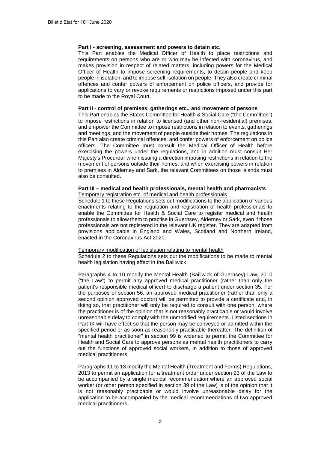# **Part I - screening, assessment and powers to detain etc.**

This Part enables the Medical Officer of Health to place restrictions and requirements on persons who are or who may be infected with coronavirus, and makes provision in respect of related matters, including powers for the Medical Officer of Health to impose screening requirements, to detain people and keep people in isolation, and to impose self-isolation on people. They also create criminal offences and confer powers of enforcement on police officers, and provide for applications to vary or revoke requirements or restrictions imposed under this part to be made to the Royal Court.

# **Part II - control of premises, gatherings etc., and movement of persons**

This Part enables the States Committee for Health & Social Care ("the Committee") to impose restrictions in relation to licensed (and other non-residential) premises, and empower the Committee to impose restrictions in relation to events, gatherings and meetings, and the movement of people outside their homes. The regulations in this Part also create criminal offences, and confer powers of enforcement on police officers. The Committee must consult the Medical Officer of Health before exercising the powers under the regulations, and in addition must consult Her Majesty's Procureur when issuing a direction imposing restrictions in relation to the movement of persons outside their homes; and when exercising powers in relation to premises in Alderney and Sark, the relevant Committees on those islands must also be consulted.

### **Part III – medical and health professionals, mental health and pharmacists**  Temporary registration etc. of medical and health professionals

Schedule 1 to these Regulations sets out modifications to the application of various enactments relating to the regulation and registration of health professionals to enable the Committee for Health & Social Care to register medical and health professionals to allow them to practise in Guernsey, Alderney or Sark, even if those professionals are not registered in the relevant UK register. They are adapted from provisions applicable in England and Wales, Scotland and Northern Ireland, enacted in the Coronavirus Act 2020.

### Temporary modification of legislation relating to mental health

Schedule 2 to these Regulations sets out the modifications to be made to mental health legislation having effect in the Bailiwick.

Paragraphs 4 to 10 modify the Mental Health (Bailiwick of Guernsey) Law, 2010 ("the Law") to permit any approved medical practitioner (rather than only the patient's responsible medical officer) to discharge a patient under section 35. For the purposes of section 56, an approved medical practitioner (rather than only a second opinion approved doctor) will be permitted to provide a certificate and, in doing so, that practitioner will only be required to consult with one person, where the practitioner is of the opinion that is not reasonably practicable or would involve unreasonable delay to comply with the unmodified requirements. Listed sections in Part IX will have effect so that the person may be conveyed or admitted within the specified period or as soon as reasonably practicable thereafter. The definition of "mental health practitioner" in section 99 is widened to permit the Committee for Health and Social Care to approve persons as mental health practitioners to carry out the functions of approved social workers, in addition to those of approved medical practitioners.

Paragraphs 11 to 13 modify the Mental Health (Treatment and Forms) Regulations, 2013 to permit an application for a treatment order under section 23 of the Law to be accompanied by a single medical recommendation where an approved social worker (or other person specified in section 39 of the Law) is of the opinion that it is not reasonably practicable or would involve unreasonable delay for the application to be accompanied by the medical recommendations of two approved medical practitioners.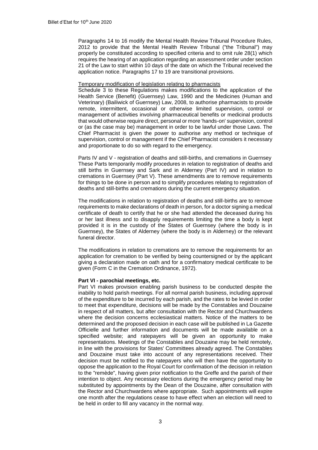Paragraphs 14 to 16 modify the Mental Health Review Tribunal Procedure Rules, 2012 to provide that the Mental Health Review Tribunal ("the Tribunal") may properly be constituted according to specified criteria and to omit rule 28(1) which requires the hearing of an application regarding an assessment order under section 21 of the Law to start within 10 days of the date on which the Tribunal received the application notice. Paragraphs 17 to 19 are transitional provisions.

### Temporary modification of legislation relating to pharmacists

Schedule 3 to these Regulations makes modifications to the application of the Health Service (Benefit) (Guernsey) Law, 1990 and the Medicines (Human and Veterinary) (Bailiwick of Guernsey) Law, 2008, to authorise pharmacists to provide remote, intermittent, occasional or otherwise limited supervision, control or management of activities involving pharmaceutical benefits or medicinal products that would otherwise require direct, personal or more 'hands-on' supervision, control or (as the case may be) management in order to be lawful under those Laws. The Chief Pharmacist is given the power to authorise any method or technique of supervision, control or management if the Chief Pharmacist considers it necessary and proportionate to do so with regard to the emergency.

Parts IV and V - registration of deaths and still-births, and cremations in Guernsey These Parts temporarily modify procedures in relation to registration of deaths and still births in Guernsey and Sark and in Alderney (Part IV) and in relation to cremations in Guernsey (Part V). These amendments are to remove requirements for things to be done in person and to simplify procedures relating to registration of deaths and still-births and cremations during the current emergency situation.

The modifications in relation to registration of deaths and still-births are to remove requirements to make declarations of death in person, for a doctor signing a medical certificate of death to certify that he or she had attended the deceased during his or her last illness and to disapply requirements limiting the time a body is kept provided it is in the custody of the States of Guernsey (where the body is in Guernsey), the States of Alderney (where the body is in Alderney) or the relevant funeral director.

The modifications in relation to cremations are to remove the requirements for an application for cremation to be verified by being countersigned or by the applicant giving a declaration made on oath and for a confirmatory medical certificate to be given (Form C in the Cremation Ordinance, 1972).

# **Part VI - parochial meetings, etc.**

Part VI makes provision enabling parish business to be conducted despite the inability to hold parish meetings. For all normal parish business, including approval of the expenditure to be incurred by each parish, and the rates to be levied in order to meet that expenditure, decisions will be made by the Constables and Douzaine in respect of all matters, but after consultation with the Rector and Churchwardens where the decision concerns ecclesiastical matters. Notice of the matters to be determined and the proposed decision in each case will be published in La Gazette Officielle and further information and documents will be made available on a specified website; and ratepayers will be given an opportunity to make representations. Meetings of the Constables and Douzaine may be held remotely, in line with the provisions for States' Committees already agreed. The Constables and Douzaine must take into account of any representations received. Their decision must be notified to the ratepayers who will then have the opportunity to oppose the application to the Royal Court for confirmation of the decision in relation to the "remède", having given prior notification to the Greffe and the parish of their intention to object. Any necessary elections during the emergency period may be substituted by appointments by the Dean of the Douzaine, after consultation with the Rector and Churchwardens where appropriate. Such appointments will expire one month after the regulations cease to have effect when an election will need to be held in order to fill any vacancy in the normal way.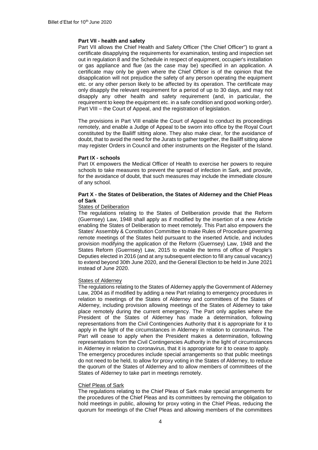# **Part VII - health and safety**

Part VII allows the Chief Health and Safety Officer ("the Chief Officer") to grant a certificate disapplying the requirements for examination, testing and inspection set out in regulation 8 and the Schedule in respect of equipment, occupier's installation or gas appliance and flue (as the case may be) specified in an application. A certificate may only be given where the Chief Officer is of the opinion that the disapplication will not prejudice the safety of any person operating the equipment etc. or any other person likely to be affected by its operation. The certificate may only disapply the relevant requirement for a period of up to 30 days, and may not disapply any other health and safety requirement (and, in particular, the requirement to keep the equipment etc. in a safe condition and good working order). Part VIII – the Court of Appeal, and the registration of legislation.

The provisions in Part VIII enable the Court of Appeal to conduct its proceedings remotely, and enable a Judge of Appeal to be sworn into office by the Royal Court constituted by the Bailiff sitting alone. They also make clear, for the avoidance of doubt, that to avoid the need for the Jurats to gather together, the Bailiff sitting alone may register Orders in Council and other instruments on the Register of the Island.

### **Part IX - schools**

Part IX empowers the Medical Officer of Health to exercise her powers to require schools to take measures to prevent the spread of infection in Sark, and provide, for the avoidance of doubt, that such measures may include the immediate closure of any school.

# **Part X - the States of Deliberation, the States of Alderney and the Chief Pleas of Sark**

### States of Deliberation

The regulations relating to the States of Deliberation provide that the Reform (Guernsey) Law, 1948 shall apply as if modified by the insertion of a new Article enabling the States of Deliberation to meet remotely. This Part also empowers the States' Assembly & Constitution Committee to make Rules of Procedure governing remote meetings of the States held pursuant to the inserted Article, and includes provision modifying the application of the Reform (Guernsey) Law, 1948 and the States Reform (Guernsey) Law, 2015 to enable the terms of office of People's Deputies elected in 2016 (and at any subsequent election to fill any casual vacancy) to extend beyond 30th June 2020, and the General Election to be held in June 2021 instead of June 2020.

### States of Alderney

The regulations relating to the States of Alderney apply the Government of Alderney Law, 2004 as if modified by adding a new Part relating to emergency procedures in relation to meetings of the States of Alderney and committees of the States of Alderney, including provision allowing meetings of the States of Alderney to take place remotely during the current emergency. The Part only applies where the President of the States of Alderney has made a determination, following representations from the Civil Contingencies Authority that it is appropriate for it to apply in the light of the circumstances in Alderney in relation to coronavirus. The Part will cease to apply when the President makes a determination, following representations from the Civil Contingencies Authority in the light of circumstances in Alderney in relation to coronavirus, that it is appropriate for it to cease to apply. The emergency procedures include special arrangements so that public meetings do not need to be held, to allow for proxy voting in the States of Alderney, to reduce the quorum of the States of Alderney and to allow members of committees of the States of Alderney to take part in meetings remotely.

### Chief Pleas of Sark

The regulations relating to the Chief Pleas of Sark make special arrangements for the procedures of the Chief Pleas and its committees by removing the obligation to hold meetings in public, allowing for proxy voting in the Chief Pleas, reducing the quorum for meetings of the Chief Pleas and allowing members of the committees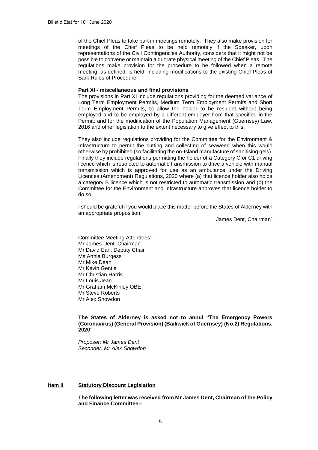of the Chief Pleas to take part in meetings remotely. They also make provision for meetings of the Chief Pleas to be held remotely if the Speaker, upon representations of the Civil Contingencies Authority, considers that it might not be possible to convene or maintain a quorate physical meeting of the Chief Pleas. The regulations make provision for the procedure to be followed when a remote meeting, as defined, is held, including modifications to the existing Chief Pleas of Sark Rules of Procedure.

### **Part XI - miscellaneous and final provisions**

The provisions in Part XI include regulations providing for the deemed variance of Long Term Employment Permits, Medium Term Employment Permits and Short Term Employment Permits, to allow the holder to be resident without being employed and to be employed by a different employer from that specified in the Permit; and for the modification of the Population Management (Guernsey) Law, 2016 and other legislation to the extent necessary to give effect to this.

They also include regulations providing for the Committee for the Environment & Infrastructure to permit the cutting and collecting of seaweed when this would otherwise by prohibited (so facilitating the on-Island manufacture of sanitising gels). Finally they include regulations permitting the holder of a Category C or C1 driving licence which is restricted to automatic transmission to drive a vehicle with manual transmission which is approved for use as an ambulance under the Driving Licences (Amendment) Regulations, 2020 where (a) that licence holder also holds a category B licence which is not restricted to automatic transmission and (b) the Committee for the Environment and Infrastructure approves that licence holder to do so.

I should be grateful if you would place this matter before the States of Alderney with an appropriate proposition.

James Dent, Chairman"

Committee Meeting Attendees:- Mr James Dent, Chairman Mr David Earl, Deputy Chair Ms Annie Burgess Mr Mike Dean Mr Kevin Gentle Mr Christian Harris Mr Louis Jean Mr Graham McKinley OBE Mr Steve Roberts Mr Alex Snowdon

# **The States of Alderney is asked not to annul "The Emergency Powers (Coronavirus) (General Provision) (Bailiwick of Guernsey) (No.2) Regulations, 2020"**

*Proposer: Mr James Dent Seconder: Mr Alex Snowdon*

### **Item II Statutory Discount Legislation**

**The following letter was received from Mr James Dent, Chairman of the Policy and Finance Committee:-**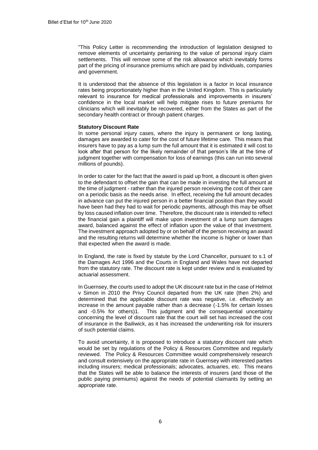"This Policy Letter is recommending the introduction of legislation designed to remove elements of uncertainty pertaining to the value of personal injury claim settlements. This will remove some of the risk allowance which inevitably forms part of the pricing of insurance premiums which are paid by individuals, companies and government.

It is understood that the absence of this legislation is a factor in local insurance rates being proportionately higher than in the United Kingdom. This is particularly relevant to insurance for medical professionals and improvements in insurers' confidence in the local market will help mitigate rises to future premiums for clinicians which will inevitably be recovered, either from the States as part of the secondary health contract or through patient charges.

# **Statutory Discount Rate**

In some personal injury cases, where the injury is permanent or long lasting, damages are awarded to cater for the cost of future lifetime care. This means that insurers have to pay as a lump sum the full amount that it is estimated it will cost to look after that person for the likely remainder of that person's life at the time of judgment together with compensation for loss of earnings (this can run into several millions of pounds).

In order to cater for the fact that the award is paid up front, a discount is often given to the defendant to offset the gain that can be made in investing the full amount at the time of judgment - rather than the injured person receiving the cost of their care on a periodic basis as the needs arise. In effect, receiving the full amount decades in advance can put the injured person in a better financial position than they would have been had they had to wait for periodic payments, although this may be offset by loss caused inflation over time. Therefore, the discount rate is intended to reflect the financial gain a plaintiff will make upon investment of a lump sum damages award, balanced against the effect of inflation upon the value of that investment. The investment approach adopted by or on behalf of the person receiving an award and the resulting returns will determine whether the income is higher or lower than that expected when the award is made.

In England, the rate is fixed by statute by the Lord Chancellor, pursuant to s.1 of the Damages Act 1996 and the Courts in England and Wales have not departed from the statutory rate. The discount rate is kept under review and is evaluated by actuarial assessment.

In Guernsey, the courts used to adopt the UK discount rate but in the case of Helmot v Simon in 2010 the Privy Council departed from the UK rate (then 2%) and determined that the applicable discount rate was negative, i.e. effectively an increase in the amount payable rather than a decrease (-1.5% for certain losses and -0.5% for others)1. This judgment and the consequential uncertainty concerning the level of discount rate that the court will set has increased the cost of insurance in the Bailiwick, as it has increased the underwriting risk for insurers of such potential claims.

To avoid uncertainty, it is proposed to introduce a statutory discount rate which would be set by regulations of the Policy & Resources Committee and regularly reviewed. The Policy & Resources Committee would comprehensively research and consult extensively on the appropriate rate in Guernsey with interested parties including insurers; medical professionals; advocates, actuaries, etc. This means that the States will be able to balance the interests of insurers (and those of the public paying premiums) against the needs of potential claimants by setting an appropriate rate.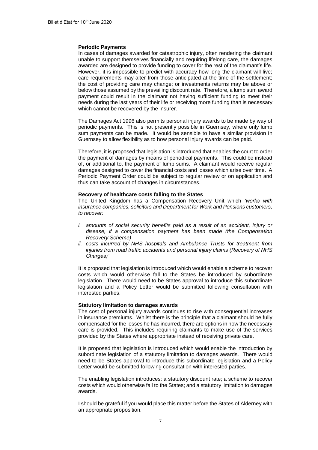### **Periodic Payments**

In cases of damages awarded for catastrophic injury, often rendering the claimant unable to support themselves financially and requiring lifelong care, the damages awarded are designed to provide funding to cover for the rest of the claimant's life. However, it is impossible to predict with accuracy how long the claimant will live; care requirements may alter from those anticipated at the time of the settlement; the cost of providing care may change; or investments returns may be above or below those assumed by the prevailing discount rate. Therefore, a lump sum award payment could result in the claimant not having sufficient funding to meet their needs during the last years of their life or receiving more funding than is necessary which cannot be recovered by the insurer.

The Damages Act 1996 also permits personal injury awards to be made by way of periodic payments. This is not presently possible in Guernsey, where only lump sum payments can be made. It would be sensible to have a similar provision in Guernsey to allow flexibility as to how personal injury awards can be paid.

Therefore, it is proposed that legislation is introduced that enables the court to order the payment of damages by means of periodical payments. This could be instead of, or additional to, the payment of lump sums. A claimant would receive regular damages designed to cover the financial costs and losses which arise over time. A Periodic Payment Order could be subject to regular review or on application and thus can take account of changes in circumstances.

### **Recovery of healthcare costs falling to the States**

The United Kingdom has a Compensation Recovery Unit which *'works with insurance companies, solicitors and Department for Work and Pensions customers, to recover:* 

- *i. amounts of social security benefits paid as a result of an accident, injury or disease, if a compensation payment has been made (the Compensation Recovery Scheme)*
- *ii. costs incurred by NHS hospitals and Ambulance Trusts for treatment from injuries from road traffic accidents and personal injury claims (Recovery of NHS Charges)'*

It is proposed that legislation is introduced which would enable a scheme to recover costs which would otherwise fall to the States be introduced by subordinate legislation. There would need to be States approval to introduce this subordinate legislation and a Policy Letter would be submitted following consultation with interested parties.

### **Statutory limitation to damages awards**

The cost of personal injury awards continues to rise with consequential increases in insurance premiums. Whilst there is the principle that a claimant should be fully compensated for the losses he has incurred, there are options in how the necessary care is provided. This includes requiring claimants to make use of the services provided by the States where appropriate instead of receiving private care.

It is proposed that legislation is introduced which would enable the introduction by subordinate legislation of a statutory limitation to damages awards. There would need to be States approval to introduce this subordinate legislation and a Policy Letter would be submitted following consultation with interested parties.

The enabling legislation introduces: a statutory discount rate; a scheme to recover costs which would otherwise fall to the States; and a statutory limitation to damages awards.

I should be grateful if you would place this matter before the States of Alderney with an appropriate proposition.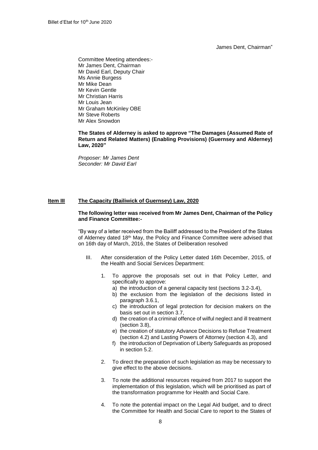James Dent, Chairman"

Committee Meeting attendees:- Mr James Dent, Chairman Mr David Earl, Deputy Chair Ms Annie Burgess Mr Mike Dean Mr Kevin Gentle Mr Christian Harris Mr Louis Jean Mr Graham McKinley OBE Mr Steve Roberts Mr Alex Snowdon

**The States of Alderney is asked to approve "The Damages (Assumed Rate of Return and Related Matters) (Enabling Provisions) (Guernsey and Alderney) Law, 2020"**

*Proposer: Mr James Dent Seconder: Mr David Earl*

# **Item III The Capacity (Bailiwick of Guernsey) Law, 2020**

# **The following letter was received from Mr James Dent, Chairman of the Policy and Finance Committee:-**

"By way of a letter received from the Bailiff addressed to the President of the States of Alderney dated 18<sup>th</sup> May, the Policy and Finance Committee were advised that on 16th day of March, 2016, the States of Deliberation resolved

- III. After consideration of the Policy Letter dated 16th December, 2015, of the Health and Social Services Department:
	- 1. To approve the proposals set out in that Policy Letter, and specifically to approve:
		- a) the introduction of a general capacity test (sections 3.2-3.4),
		- b) the exclusion from the legislation of the decisions listed in paragraph 3.6.1,
		- c) the introduction of legal protection for decision makers on the basis set out in section 3.7,
		- d) the creation of a criminal offence of wilful neglect and ill treatment (section 3.8),
		- e) the creation of statutory Advance Decisions to Refuse Treatment (section 4.2) and Lasting Powers of Attorney (section 4.3), and
		- f) the introduction of Deprivation of Liberty Safeguards as proposed in section 5.2.
	- 2. To direct the preparation of such legislation as may be necessary to give effect to the above decisions.
	- 3. To note the additional resources required from 2017 to support the implementation of this legislation, which will be prioritised as part of the transformation programme for Health and Social Care.
	- 4. To note the potential impact on the Legal Aid budget, and to direct the Committee for Health and Social Care to report to the States of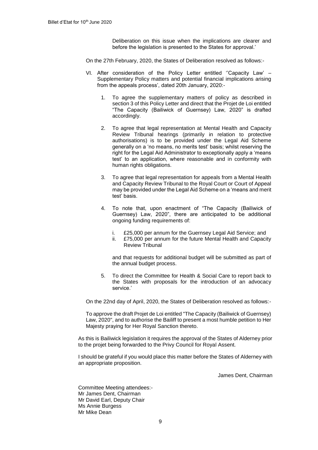Deliberation on this issue when the implications are clearer and before the legislation is presented to the States for approval.'

On the 27th February, 2020, the States of Deliberation resolved as follows:-

- VI. After consideration of the Policy Letter entitled ''Capacity Law' Supplementary Policy matters and potential financial implications arising from the appeals process', dated 20th January, 2020:-
	- 1. To agree the supplementary matters of policy as described in section 3 of this Policy Letter and direct that the Projet de Loi entitled "The Capacity (Bailiwick of Guernsey) Law, 2020" is drafted accordingly.
	- 2. To agree that legal representation at Mental Health and Capacity Review Tribunal hearings (primarily in relation to protective authorisations) is to be provided under the Legal Aid Scheme generally on a 'no means, no merits test' basis; whilst reserving the right for the Legal Aid Administrator to exceptionally apply a 'means test' to an application, where reasonable and in conformity with human rights obligations.
	- 3. To agree that legal representation for appeals from a Mental Health and Capacity Review Tribunal to the Royal Court or Court of Appeal may be provided under the Legal Aid Scheme on a 'means and merit test' basis.
	- 4. To note that, upon enactment of "The Capacity (Bailiwick of Guernsey) Law, 2020", there are anticipated to be additional ongoing funding requirements of:
		- i. £25,000 per annum for the Guernsey Legal Aid Service; and
		- ii. £75,000 per annum for the future Mental Health and Capacity Review Tribunal

and that requests for additional budget will be submitted as part of the annual budget process.

5. To direct the Committee for Health & Social Care to report back to the States with proposals for the introduction of an advocacy service.'

On the 22nd day of April, 2020, the States of Deliberation resolved as follows:-

To approve the draft Projet de Loi entitled "The Capacity (Bailiwick of Guernsey) Law, 2020", and to authorise the Bailiff to present a most humble petition to Her Majesty praying for Her Royal Sanction thereto.

As this is Bailiwick legislation it requires the approval of the States of Alderney prior to the projet being forwarded to the Privy Council for Royal Assent.

I should be grateful if you would place this matter before the States of Alderney with an appropriate proposition.

James Dent, Chairman

Committee Meeting attendees:- Mr James Dent, Chairman Mr David Earl, Deputy Chair Ms Annie Burgess Mr Mike Dean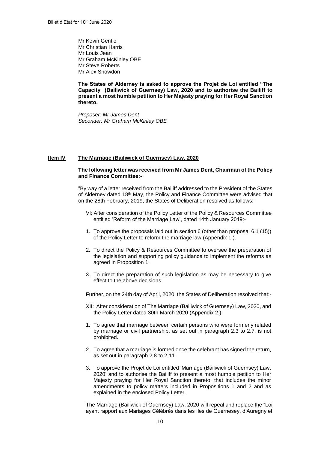Mr Kevin Gentle Mr Christian Harris Mr Louis Jean Mr Graham McKinley OBE Mr Steve Roberts Mr Alex Snowdon

**The States of Alderney is asked to approve the Projet de Loi entitled "The Capacity (Bailiwick of Guernsey) Law, 2020 and to authorise the Bailiff to present a most humble petition to Her Majesty praying for Her Royal Sanction thereto.**

*Proposer: Mr James Dent Seconder: Mr Graham McKinley OBE*

### **Item IV The Marriage (Bailiwick of Guernsey) Law, 2020**

### **The following letter was received from Mr James Dent, Chairman of the Policy and Finance Committee:-**

"By way of a letter received from the Bailiff addressed to the President of the States of Alderney dated 18th May, the Policy and Finance Committee were advised that on the 28th February, 2019, the States of Deliberation resolved as follows:-

- VI: After consideration of the Policy Letter of the Policy & Resources Committee entitled 'Reform of the Marriage Law', dated 14th January 2019:-
- 1. To approve the proposals laid out in section 6 (other than proposal 6.1 (15)) of the Policy Letter to reform the marriage law (Appendix 1.).
- 2. To direct the Policy & Resources Committee to oversee the preparation of the legislation and supporting policy guidance to implement the reforms as agreed in Proposition 1.
- 3. To direct the preparation of such legislation as may be necessary to give effect to the above decisions.

Further, on the 24th day of April, 2020, the States of Deliberation resolved that:-

- XII: After consideration of The Marriage (Bailiwick of Guernsey) Law, 2020, and the Policy Letter dated 30th March 2020 (Appendix 2.):
- 1. To agree that marriage between certain persons who were formerly related by marriage or civil partnership, as set out in paragraph 2.3 to 2.7, is not prohibited.
- 2. To agree that a marriage is formed once the celebrant has signed the return, as set out in paragraph 2.8 to 2.11.
- 3. To approve the Projet de Loi entitled 'Marriage (Bailiwick of Guernsey) Law, 2020' and to authorise the Bailiff to present a most humble petition to Her Majesty praying for Her Royal Sanction thereto, that includes the minor amendments to policy matters included in Propositions 1 and 2 and as explained in the enclosed Policy Letter.

The Marriage (Bailiwick of Guernsey) Law, 2020 will repeal and replace the "Loi ayant rapport aux Mariages Célébrés dans les Iles de Guernesey, d'Auregny et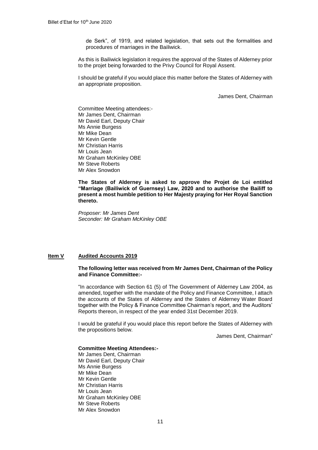de Serk", of 1919, and related legislation, that sets out the formalities and procedures of marriages in the Bailiwick.

As this is Bailiwick legislation it requires the approval of the States of Alderney prior to the projet being forwarded to the Privy Council for Royal Assent.

I should be grateful if you would place this matter before the States of Alderney with an appropriate proposition.

James Dent, Chairman

Committee Meeting attendees:- Mr James Dent, Chairman Mr David Earl, Deputy Chair Ms Annie Burgess Mr Mike Dean Mr Kevin Gentle Mr Christian Harris Mr Louis Jean Mr Graham McKinley OBE Mr Steve Roberts Mr Alex Snowdon

**The States of Alderney is asked to approve the Projet de Loi entitled "Marriage (Bailiwick of Guernsey) Law, 2020 and to authorise the Bailiff to present a most humble petition to Her Majesty praying for Her Royal Sanction thereto.**

*Proposer: Mr James Dent Seconder: Mr Graham McKinley OBE*

# **Item V Audited Accounts 2019**

# **The following letter was received from Mr James Dent, Chairman of the Policy and Finance Committee:-**

"In accordance with Section 61 (5) of The Government of Alderney Law 2004, as amended, together with the mandate of the Policy and Finance Committee, I attach the accounts of the States of Alderney and the States of Alderney Water Board together with the Policy & Finance Committee Chairman's report, and the Auditors' Reports thereon, in respect of the year ended 31st December 2019.

I would be grateful if you would place this report before the States of Alderney with the propositions below.

James Dent, Chairman"

# **Committee Meeting Attendees:-**

Mr James Dent, Chairman Mr David Earl, Deputy Chair Ms Annie Burgess Mr Mike Dean Mr Kevin Gentle Mr Christian Harris Mr Louis Jean Mr Graham McKinley OBE Mr Steve Roberts Mr Alex Snowdon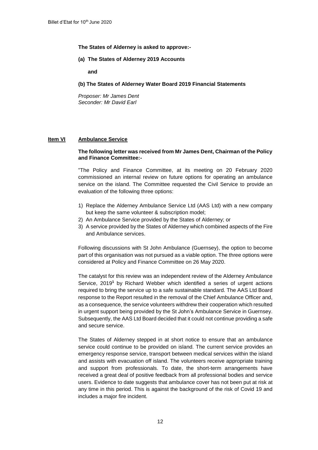**The States of Alderney is asked to approve:-**

**(a) The States of Alderney 2019 Accounts**

**and** 

**(b) The States of Alderney Water Board 2019 Financial Statements** 

*Proposer: Mr James Dent Seconder: Mr David Earl*

# **Item VI Ambulance Service**

### **The following letter was received from Mr James Dent, Chairman of the Policy and Finance Committee:-**

"The Policy and Finance Committee, at its meeting on 20 February 2020 commissioned an internal review on future options for operating an ambulance service on the island. The Committee requested the Civil Service to provide an evaluation of the following three options:

- 1) Replace the Alderney Ambulance Service Ltd (AAS Ltd) with a new company but keep the same volunteer & subscription model;
- 2) An Ambulance Service provided by the States of Alderney; or
- 3) A service provided by the States of Alderney which combined aspects of the Fire and Ambulance services.

Following discussions with St John Ambulance (Guernsey), the option to become part of this organisation was not pursued as a viable option. The three options were considered at Policy and Finance Committee on 26 May 2020.

The catalyst for this review was an independent review of the Alderney Ambulance Service, 2019**<sup>1</sup>** by Richard Webber which identified a series of urgent actions required to bring the service up to a safe sustainable standard. The AAS Ltd Board response to the Report resulted in the removal of the Chief Ambulance Officer and, as a consequence, the service volunteers withdrew their cooperation which resulted in urgent support being provided by the St John's Ambulance Service in Guernsey. Subsequently, the AAS Ltd Board decided that it could not continue providing a safe and secure service.

The States of Alderney stepped in at short notice to ensure that an ambulance service could continue to be provided on island. The current service provides an emergency response service, transport between medical services within the island and assists with evacuation off island. The volunteers receive appropriate training and support from professionals. To date, the short-term arrangements have received a great deal of positive feedback from all professional bodies and service users. Evidence to date suggests that ambulance cover has not been put at risk at any time in this period. This is against the background of the risk of Covid 19 and includes a major fire incident.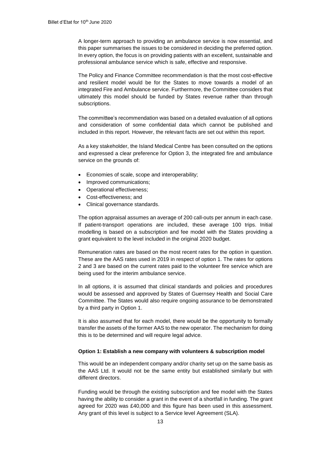A longer-term approach to providing an ambulance service is now essential, and this paper summarises the issues to be considered in deciding the preferred option. In every option, the focus is on providing patients with an excellent, sustainable and professional ambulance service which is safe, effective and responsive.

The Policy and Finance Committee recommendation is that the most cost-effective and resilient model would be for the States to move towards a model of an integrated Fire and Ambulance service. Furthermore, the Committee considers that ultimately this model should be funded by States revenue rather than through subscriptions.

The committee's recommendation was based on a detailed evaluation of all options and consideration of some confidential data which cannot be published and included in this report. However, the relevant facts are set out within this report.

As a key stakeholder, the Island Medical Centre has been consulted on the options and expressed a clear preference for Option 3, the integrated fire and ambulance service on the grounds of:

- Economies of scale, scope and interoperability;
- Improved communications;
- Operational effectiveness;
- Cost-effectiveness; and
- Clinical governance standards.

The option appraisal assumes an average of 200 call-outs per annum in each case. If patient-transport operations are included, these average 100 trips. Initial modelling is based on a subscription and fee model with the States providing a grant equivalent to the level included in the original 2020 budget.

Remuneration rates are based on the most recent rates for the option in question. These are the AAS rates used in 2019 in respect of option 1. The rates for options 2 and 3 are based on the current rates paid to the volunteer fire service which are being used for the interim ambulance service.

In all options, it is assumed that clinical standards and policies and procedures would be assessed and approved by States of Guernsey Health and Social Care Committee. The States would also require ongoing assurance to be demonstrated by a third party in Option 1.

It is also assumed that for each model, there would be the opportunity to formally transfer the assets of the former AAS to the new operator. The mechanism for doing this is to be determined and will require legal advice.

# **Option 1: Establish a new company with volunteers & subscription model**

This would be an independent company and/or charity set up on the same basis as the AAS Ltd. It would not be the same entity but established similarly but with different directors.

Funding would be through the existing subscription and fee model with the States having the ability to consider a grant in the event of a shortfall in funding. The grant agreed for 2020 was £40,000 and this figure has been used in this assessment. Any grant of this level is subject to a Service level Agreement (SLA).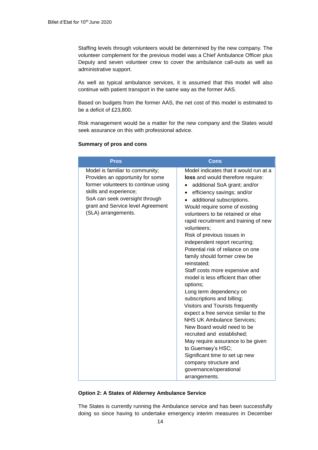Staffing levels through volunteers would be determined by the new company. The volunteer complement for the previous model was a Chief Ambulance Officer plus Deputy and seven volunteer crew to cover the ambulance call-outs as well as administrative support.

As well as typical ambulance services, it is assumed that this model will also continue with patient transport in the same way as the former AAS.

Based on budgets from the former AAS, the net cost of this model is estimated to be a deficit of £23,800.

Risk management would be a matter for the new company and the States would seek assurance on this with professional advice.

# **Summary of pros and cons**

| <b>Pros</b>                                                                                                                                                                                                                        | <b>Cons</b>                                                                                                                                                                                                                                                                                                                                                                                                                                                                                                                                                                                                                                                                                                                                                                                                                                                                                                                                                                   |
|------------------------------------------------------------------------------------------------------------------------------------------------------------------------------------------------------------------------------------|-------------------------------------------------------------------------------------------------------------------------------------------------------------------------------------------------------------------------------------------------------------------------------------------------------------------------------------------------------------------------------------------------------------------------------------------------------------------------------------------------------------------------------------------------------------------------------------------------------------------------------------------------------------------------------------------------------------------------------------------------------------------------------------------------------------------------------------------------------------------------------------------------------------------------------------------------------------------------------|
| Model is familiar to community;<br>Provides an opportunity for some<br>former volunteers to continue using<br>skills and experience;<br>SoA can seek oversight through<br>grant and Service level Agreement<br>(SLA) arrangements. | Model indicates that it would run at a<br>loss and would therefore require:<br>additional SoA grant; and/or<br>efficiency savings; and/or<br>$\bullet$<br>additional subscriptions.<br>$\bullet$<br>Would require some of existing<br>volunteers to be retained or else<br>rapid recruitment and training of new<br>volunteers;<br>Risk of previous issues in<br>independent report recurring;<br>Potential risk of reliance on one<br>family should former crew be<br>reinstated;<br>Staff costs more expensive and<br>model is less efficient than other<br>options;<br>Long term dependency on<br>subscriptions and billing;<br>Visitors and Tourists frequently<br>expect a free service similar to the<br><b>NHS UK Ambulance Services;</b><br>New Board would need to be<br>recruited and established;<br>May require assurance to be given<br>to Guernsey's HSC;<br>Significant time to set up new<br>company structure and<br>governance/operational<br>arrangements. |

### **Option 2: A States of Alderney Ambulance Service**

The States is currently running the Ambulance service and has been successfully doing so since having to undertake emergency interim measures in December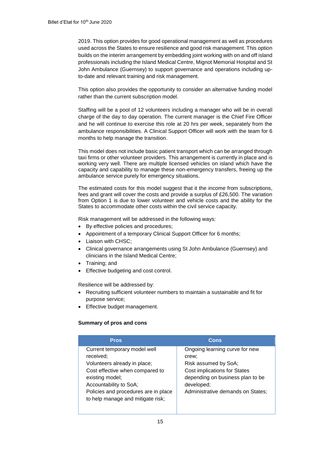2019. This option provides for good operational management as well as procedures used across the States to ensure resilience and good risk management. This option builds on the interim arrangement by embedding joint working with on and off island professionals including the Island Medical Centre, Mignot Memorial Hospital and St John Ambulance (Guernsey) to support governance and operations including upto-date and relevant training and risk management.

This option also provides the opportunity to consider an alternative funding model rather than the current subscription model.

Staffing will be a pool of 12 volunteers including a manager who will be in overall charge of the day to day operation. The current manager is the Chief Fire Officer and he will continue to exercise this role at 20 hrs per week, separately from the ambulance responsibilities. A Clinical Support Officer will work with the team for 6 months to help manage the transition.

This model does not include basic patient transport which can be arranged through taxi firms or other volunteer providers. This arrangement is currently in place and is working very well. There are multiple licensed vehicles on island which have the capacity and capability to manage these non-emergency transfers, freeing up the ambulance service purely for emergency situations.

The estimated costs for this model suggest that it the income from subscriptions, fees and grant will cover the costs and provide a surplus of £26,500. The variation from Option 1 is due to lower volunteer and vehicle costs and the ability for the States to accommodate other costs within the civil service capacity.

Risk management will be addressed in the following ways:

- By effective policies and procedures;
- Appointment of a temporary Clinical Support Officer for 6 months;
- **Liaison with CHSC;**
- Clinical governance arrangements using St John Ambulance (Guernsey) and clinicians in the Island Medical Centre;
- Training; and
- **Effective budgeting and cost control.**

Resilience will be addressed by:

- Recruiting sufficient volunteer numbers to maintain a sustainable and fit for purpose service;
- Effective budget management.

# **Summary of pros and cons**

| <b>Pros</b>                                                                                                                                                                                                                            | Cons                                                                                                                                                                                          |
|----------------------------------------------------------------------------------------------------------------------------------------------------------------------------------------------------------------------------------------|-----------------------------------------------------------------------------------------------------------------------------------------------------------------------------------------------|
| Current temporary model well<br>received;<br>Volunteers already in place;<br>Cost effective when compared to<br>existing model;<br>Accountability to SoA;<br>Policies and procedures are in place<br>to help manage and mitigate risk: | Ongoing learning curve for new<br>crew;<br>Risk assumed by SoA;<br><b>Cost implications for States</b><br>depending on business plan to be<br>developed;<br>Administrative demands on States; |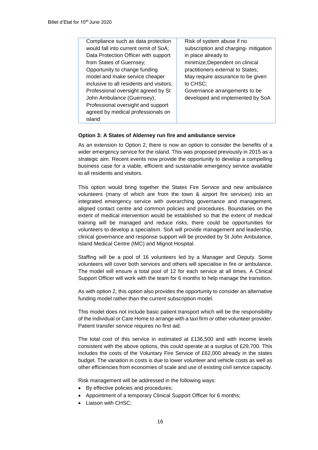| Compliance such as data protection       | Risk of system abuse if no            |
|------------------------------------------|---------------------------------------|
| would fall into current remit of SoA;    | subscription and charging- mitigation |
| Data Protection Officer with support     | in place already to                   |
| from States of Guernsey;                 | minimize; Dependent on clinical       |
| Opportunity to change funding            | practitioners external to States;     |
| model and make service cheaper           | May require assurance to be given     |
| inclusive to all residents and visitors; | to CHSC;                              |
| Professional oversight agreed by St      | Governance arrangements to be         |
| John Ambulance (Guernsey);               | developed and implemented by SoA      |
| Professional oversight and support       |                                       |
| agreed by medical professionals on       |                                       |
| island                                   |                                       |
|                                          |                                       |

# **Option 3: A States of Alderney run fire and ambulance service**

As an extension to Option 2, there is now an option to consider the benefits of a wider emergency service for the island. This was proposed previously in 2015 as a strategic aim. Recent events now provide the opportunity to develop a compelling business case for a viable, efficient and sustainable emergency service available to all residents and visitors.

This option would bring together the States Fire Service and new ambulance volunteers (many of which are from the town & airport fire services) into an integrated emergency service with overarching governance and management, aligned contact centre and common policies and procedures. Boundaries on the extent of medical intervention would be established so that the extent of medical training will be managed and reduce risks, there could be opportunities for volunteers to develop a specialism. SoA will provide management and leadership, clinical governance and response support will be provided by St John Ambulance, Island Medical Centre (IMC) and Mignot Hospital.

Staffing will be a pool of 16 volunteers led by a Manager and Deputy. Some volunteers will cover both services and others will specialise in fire or ambulance. The model will ensure a total pool of 12 for each service at all times. A Clinical Support Officer will work with the team for 6 months to help manage the transition.

As with option 2, this option also provides the opportunity to consider an alternative funding model rather than the current subscription model.

This model does not include basic patient transport which will be the responsibility of the individual or Care Home to arrange with a taxi firm or other volunteer provider. Patient transfer service requires no first aid.

The total cost of this service in estimated at £136,500 and with income levels consistent with the above options, this could operate at a surplus of £29,700. This includes the costs of the Voluntary Fire Service of £62,000 already in the states budget. The variation in costs is due to lower volunteer and vehicle costs as well as other efficiencies from economies of scale and use of existing civil service capacity.

Risk management will be addressed in the following ways:

- By effective policies and procedures;
- Appointment of a temporary Clinical Support Officer for 6 months;
- Liaison with CHSC;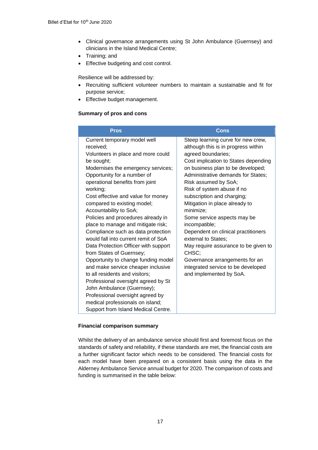- Clinical governance arrangements using St John Ambulance (Guernsey) and clinicians in the Island Medical Centre;
- Training; and
- **Effective budgeting and cost control.**

Resilience will be addressed by:

- Recruiting sufficient volunteer numbers to maintain a sustainable and fit for purpose service;
- **Effective budget management.**

# **Summary of pros and cons**

| <b>Pros</b>                                                                                                                               | Cons                                                                                                                                    |
|-------------------------------------------------------------------------------------------------------------------------------------------|-----------------------------------------------------------------------------------------------------------------------------------------|
| Current temporary model well<br>received:<br>Volunteers in place and more could<br>be sought;                                             | Steep learning curve for new crew,<br>although this is in progress within<br>agreed boundaries;<br>Cost implication to States depending |
| Modernises the emergency services;<br>Opportunity for a number of<br>operational benefits from joint<br>working;                          | on business plan to be developed;<br>Administrative demands for States:<br>Risk assumed by SoA;<br>Risk of system abuse if no           |
| Cost effective and value for money<br>compared to existing model;<br>Accountability to SoA;<br>Policies and procedures already in         | subscription and charging;<br>Mitigation in place already to<br>minimize;                                                               |
| place to manage and mitigate risk;<br>Compliance such as data protection<br>would fall into current remit of SoA                          | Some service aspects may be<br>incompatible;<br>Dependent on clinical practitioners<br>external to States;                              |
| Data Protection Officer with support<br>from States of Guernsey;                                                                          | May require assurance to be given to<br>CHSC;                                                                                           |
| Opportunity to change funding model<br>and make service cheaper inclusive<br>to all residents and visitors;                               | Governance arrangements for an<br>integrated service to be developed<br>and implemented by SoA.                                         |
| Professional oversight agreed by St<br>John Ambulance (Guernsey);<br>Professional oversight agreed by<br>medical professionals on island; |                                                                                                                                         |
| Support from Island Medical Centre.                                                                                                       |                                                                                                                                         |

# **Financial comparison summary**

Whilst the delivery of an ambulance service should first and foremost focus on the standards of safety and reliability, if these standards are met, the financial costs are a further significant factor which needs to be considered. The financial costs for each model have been prepared on a consistent basis using the data in the Alderney Ambulance Service annual budget for 2020. The comparison of costs and funding is summarised in the table below: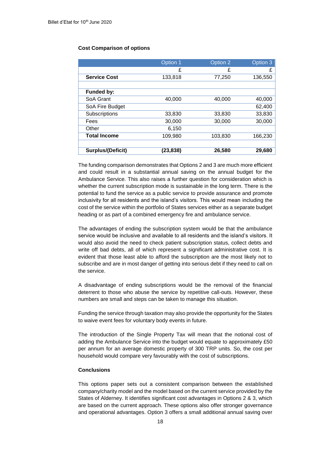# **Cost Comparison of options**

|                          | Option 1  | Option 2 | Option 3 |
|--------------------------|-----------|----------|----------|
|                          | £         | £        | £        |
| <b>Service Cost</b>      | 133,818   | 77,250   | 136,550  |
|                          |           |          |          |
| Funded by:               |           |          |          |
| SoA Grant                | 40,000    | 40,000   | 40,000   |
| SoA Fire Budget          |           |          | 62,400   |
| Subscriptions            | 33,830    | 33,830   | 33,830   |
| Fees                     | 30,000    | 30,000   | 30,000   |
| Other                    | 6,150     |          |          |
| <b>Total Income</b>      | 109,980   | 103,830  | 166,230  |
|                          |           |          |          |
| <b>Surplus/(Deficit)</b> | (23, 838) | 26,580   | 29,680   |

The funding comparison demonstrates that Options 2 and 3 are much more efficient and could result in a substantial annual saving on the annual budget for the Ambulance Service. This also raises a further question for consideration which is whether the current subscription mode is sustainable in the long term. There is the potential to fund the service as a public service to provide assurance and promote inclusivity for all residents and the island's visitors. This would mean including the cost of the service within the portfolio of States services either as a separate budget heading or as part of a combined emergency fire and ambulance service.

The advantages of ending the subscription system would be that the ambulance service would be inclusive and available to all residents and the island's visitors. It would also avoid the need to check patient subscription status, collect debts and write off bad debts, all of which represent a significant administrative cost. It is evident that those least able to afford the subscription are the most likely not to subscribe and are in most danger of getting into serious debt if they need to call on the service.

A disadvantage of ending subscriptions would be the removal of the financial deterrent to those who abuse the service by repetitive call-outs. However, these numbers are small and steps can be taken to manage this situation.

Funding the service through taxation may also provide the opportunity for the States to waive event fees for voluntary body events in future.

The introduction of the Single Property Tax will mean that the notional cost of adding the Ambulance Service into the budget would equate to approximately £50 per annum for an average domestic property of 300 TRP units. So, the cost per household would compare very favourably with the cost of subscriptions.

# **Conclusions**

This options paper sets out a consistent comparison between the established company/charity model and the model based on the current service provided by the States of Alderney. It identifies significant cost advantages in Options 2 & 3, which are based on the current approach. These options also offer stronger governance and operational advantages. Option 3 offers a small additional annual saving over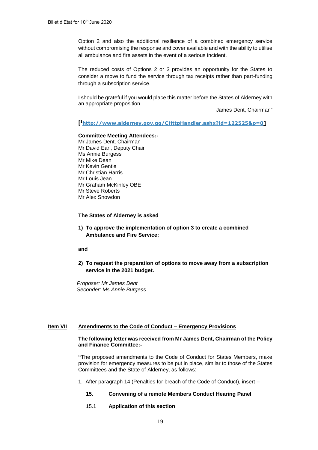Option 2 and also the additional resilience of a combined emergency service without compromising the response and cover available and with the ability to utilise all ambulance and fire assets in the event of a serious incident.

The reduced costs of Options 2 or 3 provides an opportunity for the States to consider a move to fund the service through tax receipts rather than part-funding through a subscription service.

I should be grateful if you would place this matter before the States of Alderney with an appropriate proposition.

James Dent, Chairman"

**[ <sup>1</sup>[http://www.alderney.gov.gg/CHttpHandler.ashx?id=122525&p=0\]](http://www.alderney.gov.gg/CHttpHandler.ashx?id=122525&p=0)**

### **Committee Meeting Attendees:-**

Mr James Dent, Chairman Mr David Earl, Deputy Chair Ms Annie Burgess Mr Mike Dean Mr Kevin Gentle Mr Christian Harris Mr Louis Jean Mr Graham McKinley OBE Mr Steve Roberts Mr Alex Snowdon

### **The States of Alderney is asked**

**1) To approve the implementation of option 3 to create a combined Ambulance and Fire Service;** 

### **and**

**2) To request the preparation of options to move away from a subscription service in the 2021 budget.** 

*Proposer: Mr James Dent Seconder: Ms Annie Burgess*

# **Item VII Amendments to the Code of Conduct – Emergency Provisions**

### **The following letter was received from Mr James Dent, Chairman of the Policy and Finance Committee:-**

**"**The proposed amendments to the Code of Conduct for States Members, make provision for emergency measures to be put in place, similar to those of the States Committees and the State of Alderney, as follows:

1. After paragraph 14 (Penalties for breach of the Code of Conduct), insert –

# **15. Convening of a remote Members Conduct Hearing Panel**

15.1 **Application of this section**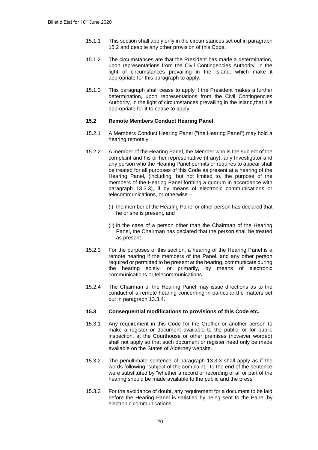- 15.1.1 This section shall apply only in the circumstances set out in paragraph 15.2 and despite any other provision of this Code.
- 15.1.2 The circumstances are that the President has made a determination, upon representations from the Civil Contingencies Authority, in the light of circumstances prevailing in the Island, which make it appropriate for this paragraph to apply.
- 15.1.3 This paragraph shall cease to apply if the President makes a further determination, upon representations from the Civil Contingencies Authority, in the light of circumstances prevailing in the Island,that it is appropriate for it to cease to apply.

# **15.2 Remote Members Conduct Hearing Panel**

- 15.2.1 A Members Conduct Hearing Panel ("the Hearing Panel") may hold a hearing remotely.
- 15.2.2 A member of the Hearing Panel, the Member who is the subject of the complaint and his or her representative (if any), any Investigator and any person who the Hearing Panel permits or requires to appear shall be treated for all purposes of this Code as present at a hearing of the Hearing Panel, (including, but not limited to, the purpose of the members of the Hearing Panel forming a quorum in accordance with paragraph 13.3.3), if by means of electronic communications or telecommunications, or otherwise –
	- (i) the member of the Hearing Panel or other person has declared that he or she is present, and
	- (ii) in the case of a person other than the Chairman of the Hearing Panel, the Chairman has declared that the person shall be treated as present.
- 15.2.3 For the purposes of this section, a hearing of the Hearing Panel is a remote hearing if the members of the Panel, and any other person required or permitted to be present at the hearing, communicate during the hearing solely, or primarily, by means of electronic communications or telecommunications.
- 15.2.4 The Chairman of the Hearing Panel may issue directions as to the conduct of a remote hearing concerning in particular the matters set out in paragraph 13.3.4.

# **15.3 Consequential modifications to provisions of this Code etc.**

- 15.3.1 Any requirement in this Code for the Greffier or another person to make a register or document available to the public, or for public inspection, at the Courthouse or other premises (however worded) shall not apply so that such document or register need only be made available on the States of Alderney website.
- 15.3.2 The penultimate sentence of paragraph 13.3.3 shall apply as if the words following "subject of the complaint," to the end of the sentence were substituted by "whether a record or recording of all or part of the hearing should be made available to the public and the press".
- 15.3.3 For the avoidance of doubt, any requirement for a document to be laid before the Hearing Panel is satisfied by being sent to the Panel by electronic communications.